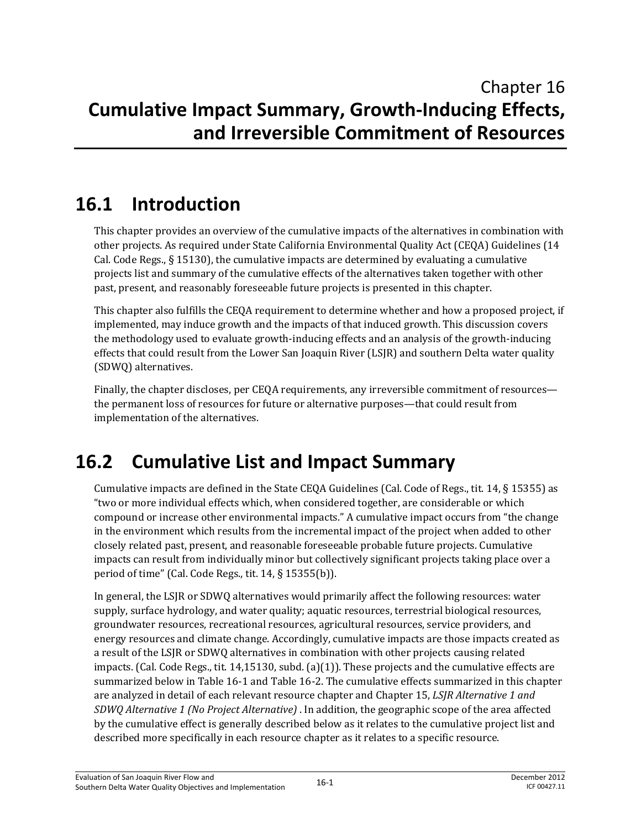# **16.1 Introduction**

This chapter provides an overview of the cumulative impacts of the alternatives in combination with other projects. As required under State California Environmental Quality Act (CEQA) Guidelines (14 Cal. Code Regs., § 15130), the cumulative impacts are determined by evaluating a cumulative projects list and summary of the cumulative effects of the alternatives taken together with other past, present, and reasonably foreseeable future projects is presented in this chapter.

This chapter also fulfills the CEQA requirement to determine whether and how a proposed project, if implemented, may induce growth and the impacts of that induced growth. This discussion covers the methodology used to evaluate growth-inducing effects and an analysis of the growth-inducing effects that could result from the Lower San Joaquin River (LSJR) and southern Delta water quality (SDWQ) alternatives.

Finally, the chapter discloses, per CEQA requirements, any irreversible commitment of resources the permanent loss of resources for future or alternative purposes—that could result from implementation of the alternatives.

## **16.2 Cumulative List and Impact Summary**

Cumulative impacts are defined in the State CEQA Guidelines (Cal. Code of Regs., tit. 14, § 15355) as "two or more individual effects which, when considered together, are considerable or which compound or increase other environmental impacts." A cumulative impact occurs from "the change in the environment which results from the incremental impact of the project when added to other closely related past, present, and reasonable foreseeable probable future projects. Cumulative impacts can result from individually minor but collectively significant projects taking place over a period of time" (Cal. Code Regs., tit. 14, § 15355(b)).

In general, the LSJR or SDWQ alternatives would primarily affect the following resources: water supply, surface hydrology, and water quality; aquatic resources, terrestrial biological resources, groundwater resources, recreational resources, agricultural resources, service providers, and energy resources and climate change. Accordingly, cumulative impacts are those impacts created as a result of the LSJR or SDWQ alternatives in combination with other projects causing related impacts. (Cal. Code Regs., tit.  $14,15130$ , subd. (a)(1)). These projects and the cumulative effects are summarized below in Table 16-1 and Table 16-2. The cumulative effects summarized in this chapter are analyzed in detail of each relevant resource chapter and Chapter 15, *LSJR Alternative 1 and SDWQ Alternative 1 (No Project Alternative)* . In addition, the geographic scope of the area affected by the cumulative effect is generally described below as it relates to the cumulative project list and described more specifically in each resource chapter as it relates to a specific resource.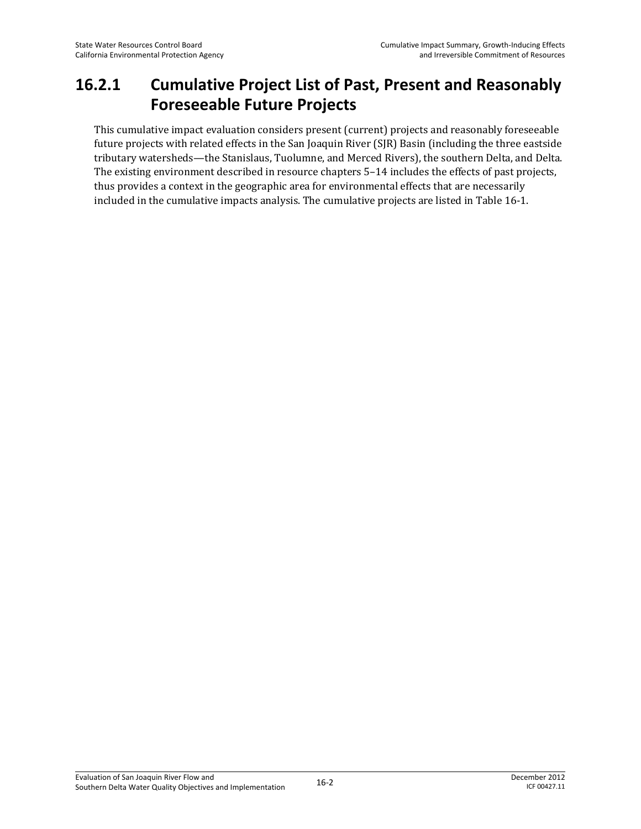#### **16.2.1 Cumulative Project List of Past, Present and Reasonably Foreseeable Future Projects**

This cumulative impact evaluation considers present (current) projects and reasonably foreseeable future projects with related effects in the San Joaquin River (SJR) Basin (including the three eastside tributary watersheds—the Stanislaus, Tuolumne, and Merced Rivers), the southern Delta, and Delta. The existing environment described in resource chapters 5–14 includes the effects of past projects, thus provides a context in the geographic area for environmental effects that are necessarily included in the cumulative impacts analysis. The cumulative projects are listed in Table 16-1.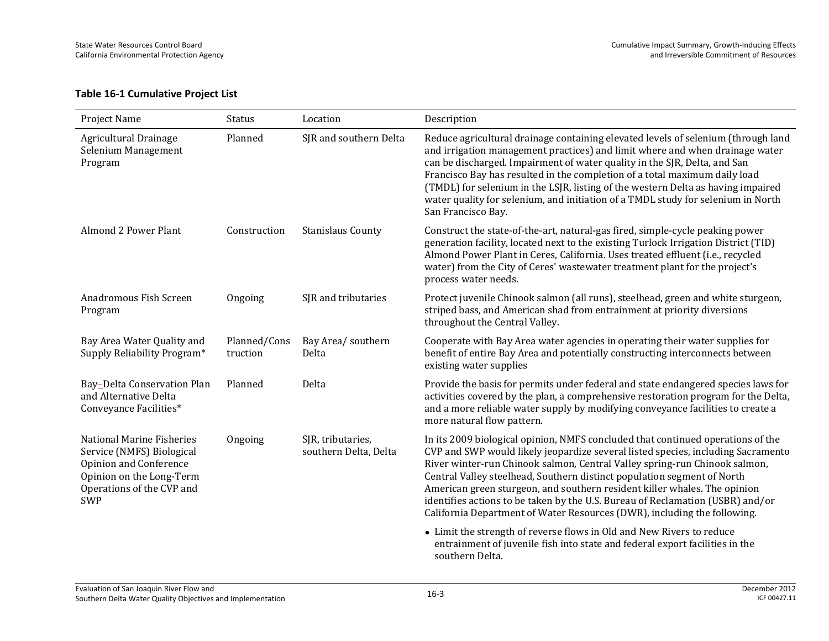#### **Table 16-1 Cumulative Project List**

| Project Name                                                                                                                                            | Status                   | Location                                   | Description                                                                                                                                                                                                                                                                                                                                                                                                                                                                                                                                                             |
|---------------------------------------------------------------------------------------------------------------------------------------------------------|--------------------------|--------------------------------------------|-------------------------------------------------------------------------------------------------------------------------------------------------------------------------------------------------------------------------------------------------------------------------------------------------------------------------------------------------------------------------------------------------------------------------------------------------------------------------------------------------------------------------------------------------------------------------|
| Agricultural Drainage<br>Selenium Management<br>Program                                                                                                 | Planned                  | SJR and southern Delta                     | Reduce agricultural drainage containing elevated levels of selenium (through land<br>and irrigation management practices) and limit where and when drainage water<br>can be discharged. Impairment of water quality in the SJR, Delta, and San<br>Francisco Bay has resulted in the completion of a total maximum daily load<br>(TMDL) for selenium in the LSJR, listing of the western Delta as having impaired<br>water quality for selenium, and initiation of a TMDL study for selenium in North<br>San Francisco Bay.                                              |
| Almond 2 Power Plant                                                                                                                                    | Construction             | <b>Stanislaus County</b>                   | Construct the state-of-the-art, natural-gas fired, simple-cycle peaking power<br>generation facility, located next to the existing Turlock Irrigation District (TID)<br>Almond Power Plant in Ceres, California. Uses treated effluent (i.e., recycled<br>water) from the City of Ceres' wastewater treatment plant for the project's<br>process water needs.                                                                                                                                                                                                           |
| Anadromous Fish Screen<br>Program                                                                                                                       | Ongoing                  | SJR and tributaries                        | Protect juvenile Chinook salmon (all runs), steelhead, green and white sturgeon,<br>striped bass, and American shad from entrainment at priority diversions<br>throughout the Central Valley.                                                                                                                                                                                                                                                                                                                                                                           |
| Bay Area Water Quality and<br>Supply Reliability Program*                                                                                               | Planned/Cons<br>truction | Bay Area/ southern<br>Delta                | Cooperate with Bay Area water agencies in operating their water supplies for<br>benefit of entire Bay Area and potentially constructing interconnects between<br>existing water supplies                                                                                                                                                                                                                                                                                                                                                                                |
| Bay-Delta Conservation Plan<br>and Alternative Delta<br>Conveyance Facilities*                                                                          | Planned                  | Delta                                      | Provide the basis for permits under federal and state endangered species laws for<br>activities covered by the plan, a comprehensive restoration program for the Delta,<br>and a more reliable water supply by modifying conveyance facilities to create a<br>more natural flow pattern.                                                                                                                                                                                                                                                                                |
| National Marine Fisheries<br>Service (NMFS) Biological<br>Opinion and Conference<br>Opinion on the Long-Term<br>Operations of the CVP and<br><b>SWP</b> | Ongoing                  | SJR, tributaries,<br>southern Delta, Delta | In its 2009 biological opinion, NMFS concluded that continued operations of the<br>CVP and SWP would likely jeopardize several listed species, including Sacramento<br>River winter-run Chinook salmon, Central Valley spring-run Chinook salmon,<br>Central Valley steelhead, Southern distinct population segment of North<br>American green sturgeon, and southern resident killer whales. The opinion<br>identifies actions to be taken by the U.S. Bureau of Reclamation (USBR) and/or<br>California Department of Water Resources (DWR), including the following. |
|                                                                                                                                                         |                          |                                            | • Limit the strength of reverse flows in Old and New Rivers to reduce<br>entrainment of juvenile fish into state and federal export facilities in the<br>southern Delta.                                                                                                                                                                                                                                                                                                                                                                                                |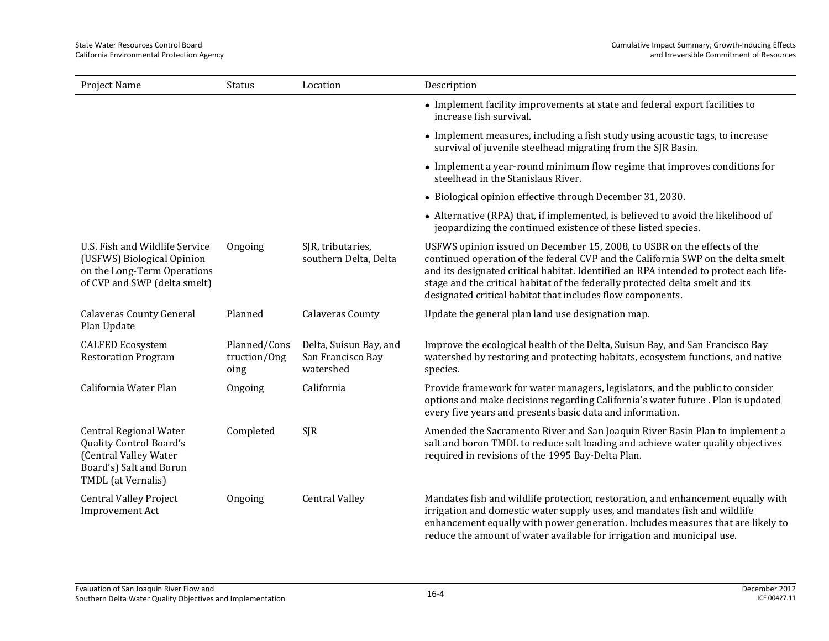| Project Name                                                                                                                       | <b>Status</b>                        | Location                                                 | Description                                                                                                                                                                                                                                                                                                                                                                                          |
|------------------------------------------------------------------------------------------------------------------------------------|--------------------------------------|----------------------------------------------------------|------------------------------------------------------------------------------------------------------------------------------------------------------------------------------------------------------------------------------------------------------------------------------------------------------------------------------------------------------------------------------------------------------|
|                                                                                                                                    |                                      |                                                          | • Implement facility improvements at state and federal export facilities to<br>increase fish survival.                                                                                                                                                                                                                                                                                               |
|                                                                                                                                    |                                      |                                                          | • Implement measures, including a fish study using acoustic tags, to increase<br>survival of juvenile steelhead migrating from the SJR Basin.                                                                                                                                                                                                                                                        |
|                                                                                                                                    |                                      |                                                          | • Implement a year-round minimum flow regime that improves conditions for<br>steelhead in the Stanislaus River.                                                                                                                                                                                                                                                                                      |
|                                                                                                                                    |                                      |                                                          | • Biological opinion effective through December 31, 2030.                                                                                                                                                                                                                                                                                                                                            |
|                                                                                                                                    |                                      |                                                          | • Alternative (RPA) that, if implemented, is believed to avoid the likelihood of<br>jeopardizing the continued existence of these listed species.                                                                                                                                                                                                                                                    |
| U.S. Fish and Wildlife Service<br>(USFWS) Biological Opinion<br>on the Long-Term Operations<br>of CVP and SWP (delta smelt)        | Ongoing                              | SJR, tributaries,<br>southern Delta, Delta               | USFWS opinion issued on December 15, 2008, to USBR on the effects of the<br>continued operation of the federal CVP and the California SWP on the delta smelt<br>and its designated critical habitat. Identified an RPA intended to protect each life-<br>stage and the critical habitat of the federally protected delta smelt and its<br>designated critical habitat that includes flow components. |
| <b>Calaveras County General</b><br>Plan Update                                                                                     | Planned                              | <b>Calaveras County</b>                                  | Update the general plan land use designation map.                                                                                                                                                                                                                                                                                                                                                    |
| <b>CALFED Ecosystem</b><br><b>Restoration Program</b>                                                                              | Planned/Cons<br>truction/Ong<br>oing | Delta, Suisun Bay, and<br>San Francisco Bay<br>watershed | Improve the ecological health of the Delta, Suisun Bay, and San Francisco Bay<br>watershed by restoring and protecting habitats, ecosystem functions, and native<br>species.                                                                                                                                                                                                                         |
| California Water Plan                                                                                                              | Ongoing                              | California                                               | Provide framework for water managers, legislators, and the public to consider<br>options and make decisions regarding California's water future . Plan is updated<br>every five years and presents basic data and information.                                                                                                                                                                       |
| <b>Central Regional Water</b><br>Quality Control Board's<br>(Central Valley Water<br>Board's) Salt and Boron<br>TMDL (at Vernalis) | Completed                            | <b>SJR</b>                                               | Amended the Sacramento River and San Joaquin River Basin Plan to implement a<br>salt and boron TMDL to reduce salt loading and achieve water quality objectives<br>required in revisions of the 1995 Bay-Delta Plan.                                                                                                                                                                                 |
| <b>Central Valley Project</b><br><b>Improvement Act</b>                                                                            | Ongoing                              | <b>Central Valley</b>                                    | Mandates fish and wildlife protection, restoration, and enhancement equally with<br>irrigation and domestic water supply uses, and mandates fish and wildlife<br>enhancement equally with power generation. Includes measures that are likely to                                                                                                                                                     |

reduce the amount of water available for irrigation and municipal use.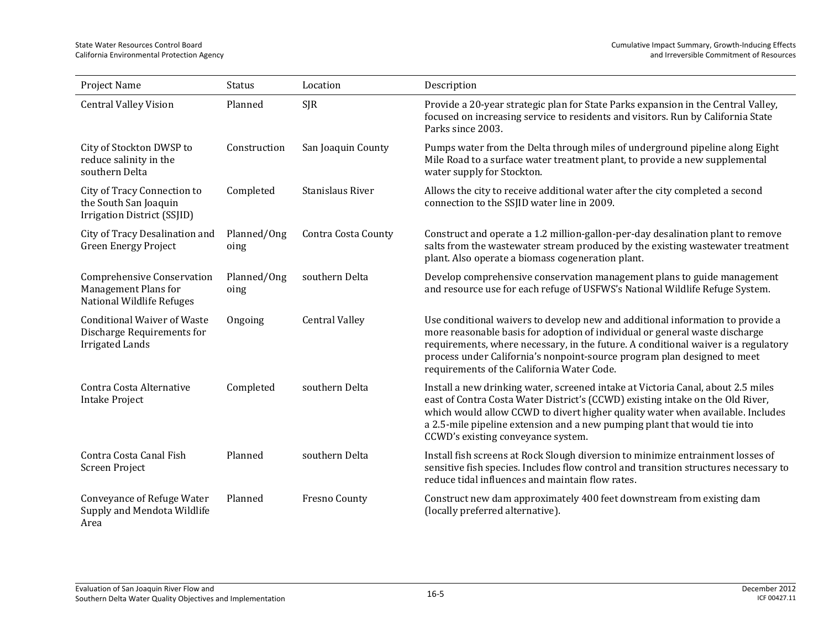| Project Name                                                                               | <b>Status</b>       | Location              | Description                                                                                                                                                                                                                                                                                                                                                                   |
|--------------------------------------------------------------------------------------------|---------------------|-----------------------|-------------------------------------------------------------------------------------------------------------------------------------------------------------------------------------------------------------------------------------------------------------------------------------------------------------------------------------------------------------------------------|
| <b>Central Valley Vision</b>                                                               | Planned             | <b>SJR</b>            | Provide a 20-year strategic plan for State Parks expansion in the Central Valley,<br>focused on increasing service to residents and visitors. Run by California State<br>Parks since 2003.                                                                                                                                                                                    |
| City of Stockton DWSP to<br>reduce salinity in the<br>southern Delta                       | Construction        | San Joaquin County    | Pumps water from the Delta through miles of underground pipeline along Eight<br>Mile Road to a surface water treatment plant, to provide a new supplemental<br>water supply for Stockton.                                                                                                                                                                                     |
| City of Tracy Connection to<br>the South San Joaquin<br>Irrigation District (SSJID)        | Completed           | Stanislaus River      | Allows the city to receive additional water after the city completed a second<br>connection to the SSJID water line in 2009.                                                                                                                                                                                                                                                  |
| City of Tracy Desalination and<br><b>Green Energy Project</b>                              | Planned/Ong<br>oing | Contra Costa County   | Construct and operate a 1.2 million-gallon-per-day desalination plant to remove<br>salts from the wastewater stream produced by the existing wastewater treatment<br>plant. Also operate a biomass cogeneration plant.                                                                                                                                                        |
| Comprehensive Conservation<br>Management Plans for<br>National Wildlife Refuges            | Planned/Ong<br>oing | southern Delta        | Develop comprehensive conservation management plans to guide management<br>and resource use for each refuge of USFWS's National Wildlife Refuge System.                                                                                                                                                                                                                       |
| <b>Conditional Waiver of Waste</b><br>Discharge Requirements for<br><b>Irrigated Lands</b> | Ongoing             | <b>Central Valley</b> | Use conditional waivers to develop new and additional information to provide a<br>more reasonable basis for adoption of individual or general waste discharge<br>requirements, where necessary, in the future. A conditional waiver is a regulatory<br>process under California's nonpoint-source program plan designed to meet<br>requirements of the California Water Code. |
| Contra Costa Alternative<br><b>Intake Project</b>                                          | Completed           | southern Delta        | Install a new drinking water, screened intake at Victoria Canal, about 2.5 miles<br>east of Contra Costa Water District's (CCWD) existing intake on the Old River,<br>which would allow CCWD to divert higher quality water when available. Includes<br>a 2.5-mile pipeline extension and a new pumping plant that would tie into<br>CCWD's existing conveyance system.       |
| Contra Costa Canal Fish<br>Screen Project                                                  | Planned             | southern Delta        | Install fish screens at Rock Slough diversion to minimize entrainment losses of<br>sensitive fish species. Includes flow control and transition structures necessary to<br>reduce tidal influences and maintain flow rates.                                                                                                                                                   |
| Conveyance of Refuge Water<br>Supply and Mendota Wildlife<br>Area                          | Planned             | Fresno County         | Construct new dam approximately 400 feet downstream from existing dam<br>(locally preferred alternative).                                                                                                                                                                                                                                                                     |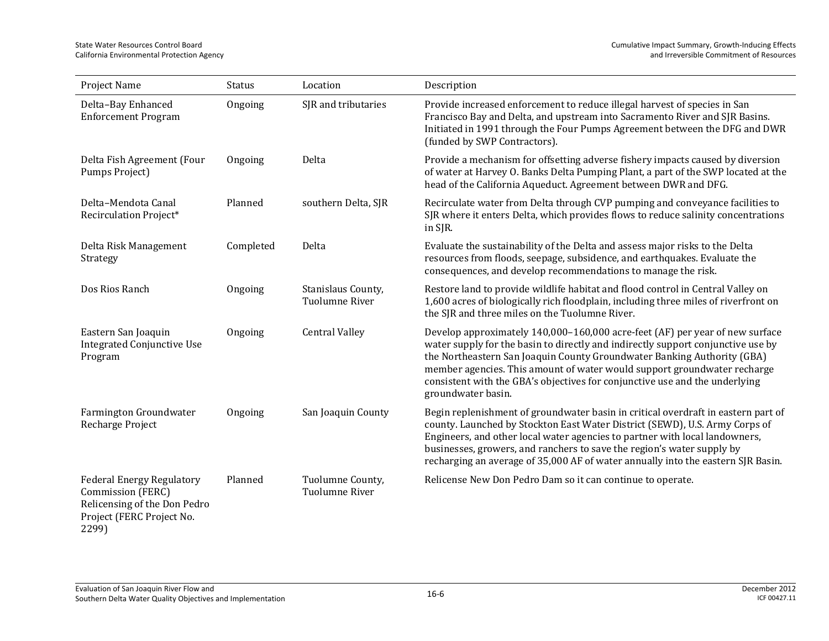| Project Name                                                                                                                | <b>Status</b> | Location                                    | Description                                                                                                                                                                                                                                                                                                                                                                                                                  |
|-----------------------------------------------------------------------------------------------------------------------------|---------------|---------------------------------------------|------------------------------------------------------------------------------------------------------------------------------------------------------------------------------------------------------------------------------------------------------------------------------------------------------------------------------------------------------------------------------------------------------------------------------|
| Delta-Bay Enhanced<br><b>Enforcement Program</b>                                                                            | Ongoing       | SJR and tributaries                         | Provide increased enforcement to reduce illegal harvest of species in San<br>Francisco Bay and Delta, and upstream into Sacramento River and SJR Basins.<br>Initiated in 1991 through the Four Pumps Agreement between the DFG and DWR<br>(funded by SWP Contractors).                                                                                                                                                       |
| Delta Fish Agreement (Four<br>Pumps Project)                                                                                | Ongoing       | Delta                                       | Provide a mechanism for offsetting adverse fishery impacts caused by diversion<br>of water at Harvey O. Banks Delta Pumping Plant, a part of the SWP located at the<br>head of the California Aqueduct. Agreement between DWR and DFG.                                                                                                                                                                                       |
| Delta-Mendota Canal<br>Recirculation Project*                                                                               | Planned       | southern Delta, SJR                         | Recirculate water from Delta through CVP pumping and conveyance facilities to<br>SJR where it enters Delta, which provides flows to reduce salinity concentrations<br>in SJR.                                                                                                                                                                                                                                                |
| Delta Risk Management<br>Strategy                                                                                           | Completed     | Delta                                       | Evaluate the sustainability of the Delta and assess major risks to the Delta<br>resources from floods, seepage, subsidence, and earthquakes. Evaluate the<br>consequences, and develop recommendations to manage the risk.                                                                                                                                                                                                   |
| Dos Rios Ranch                                                                                                              | Ongoing       | Stanislaus County,<br><b>Tuolumne River</b> | Restore land to provide wildlife habitat and flood control in Central Valley on<br>1,600 acres of biologically rich floodplain, including three miles of riverfront on<br>the SJR and three miles on the Tuolumne River.                                                                                                                                                                                                     |
| Eastern San Joaquin<br><b>Integrated Conjunctive Use</b><br>Program                                                         | Ongoing       | <b>Central Valley</b>                       | Develop approximately 140,000-160,000 acre-feet (AF) per year of new surface<br>water supply for the basin to directly and indirectly support conjunctive use by<br>the Northeastern San Joaquin County Groundwater Banking Authority (GBA)<br>member agencies. This amount of water would support groundwater recharge<br>consistent with the GBA's objectives for conjunctive use and the underlying<br>groundwater basin. |
| Farmington Groundwater<br>Recharge Project                                                                                  | Ongoing       | San Joaquin County                          | Begin replenishment of groundwater basin in critical overdraft in eastern part of<br>county. Launched by Stockton East Water District (SEWD), U.S. Army Corps of<br>Engineers, and other local water agencies to partner with local landowners,<br>businesses, growers, and ranchers to save the region's water supply by<br>recharging an average of 35,000 AF of water annually into the eastern SJR Basin.                |
| <b>Federal Energy Regulatory</b><br>Commission (FERC)<br>Relicensing of the Don Pedro<br>Project (FERC Project No.<br>2299) | Planned       | Tuolumne County,<br>Tuolumne River          | Relicense New Don Pedro Dam so it can continue to operate.                                                                                                                                                                                                                                                                                                                                                                   |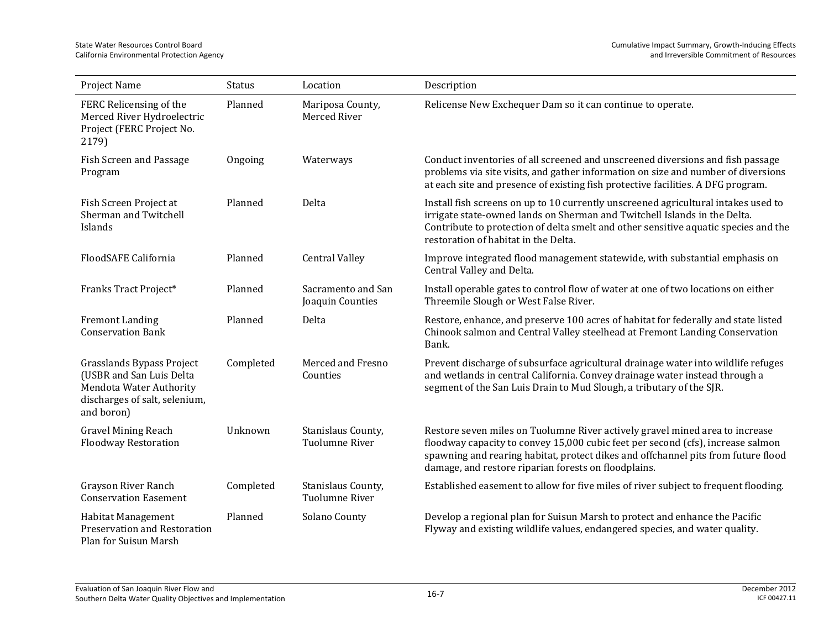| Project Name                                                                                                                    | Status    | Location                                    | Description                                                                                                                                                                                                                                                                                                  |
|---------------------------------------------------------------------------------------------------------------------------------|-----------|---------------------------------------------|--------------------------------------------------------------------------------------------------------------------------------------------------------------------------------------------------------------------------------------------------------------------------------------------------------------|
| FERC Relicensing of the<br>Merced River Hydroelectric<br>Project (FERC Project No.<br>2179)                                     | Planned   | Mariposa County,<br>Merced River            | Relicense New Exchequer Dam so it can continue to operate.                                                                                                                                                                                                                                                   |
| Fish Screen and Passage<br>Program                                                                                              | Ongoing   | Waterways                                   | Conduct inventories of all screened and unscreened diversions and fish passage<br>problems via site visits, and gather information on size and number of diversions<br>at each site and presence of existing fish protective facilities. A DFG program.                                                      |
| Fish Screen Project at<br>Sherman and Twitchell<br>Islands                                                                      | Planned   | Delta                                       | Install fish screens on up to 10 currently unscreened agricultural intakes used to<br>irrigate state-owned lands on Sherman and Twitchell Islands in the Delta.<br>Contribute to protection of delta smelt and other sensitive aquatic species and the<br>restoration of habitat in the Delta.               |
| FloodSAFE California                                                                                                            | Planned   | <b>Central Valley</b>                       | Improve integrated flood management statewide, with substantial emphasis on<br>Central Valley and Delta.                                                                                                                                                                                                     |
| Franks Tract Project*                                                                                                           | Planned   | Sacramento and San<br>Joaquin Counties      | Install operable gates to control flow of water at one of two locations on either<br>Threemile Slough or West False River.                                                                                                                                                                                   |
| <b>Fremont Landing</b><br><b>Conservation Bank</b>                                                                              | Planned   | Delta                                       | Restore, enhance, and preserve 100 acres of habitat for federally and state listed<br>Chinook salmon and Central Valley steelhead at Fremont Landing Conservation<br>Bank.                                                                                                                                   |
| Grasslands Bypass Project<br>(USBR and San Luis Delta<br>Mendota Water Authority<br>discharges of salt, selenium,<br>and boron) | Completed | Merced and Fresno<br>Counties               | Prevent discharge of subsurface agricultural drainage water into wildlife refuges<br>and wetlands in central California. Convey drainage water instead through a<br>segment of the San Luis Drain to Mud Slough, a tributary of the SJR.                                                                     |
| <b>Gravel Mining Reach</b><br><b>Floodway Restoration</b>                                                                       | Unknown   | Stanislaus County,<br><b>Tuolumne River</b> | Restore seven miles on Tuolumne River actively gravel mined area to increase<br>floodway capacity to convey 15,000 cubic feet per second (cfs), increase salmon<br>spawning and rearing habitat, protect dikes and offchannel pits from future flood<br>damage, and restore riparian forests on floodplains. |
| Grayson River Ranch<br><b>Conservation Easement</b>                                                                             | Completed | Stanislaus County,<br><b>Tuolumne River</b> | Established easement to allow for five miles of river subject to frequent flooding.                                                                                                                                                                                                                          |
| Habitat Management<br>Preservation and Restoration<br>Plan for Suisun Marsh                                                     | Planned   | Solano County                               | Develop a regional plan for Suisun Marsh to protect and enhance the Pacific<br>Flyway and existing wildlife values, endangered species, and water quality.                                                                                                                                                   |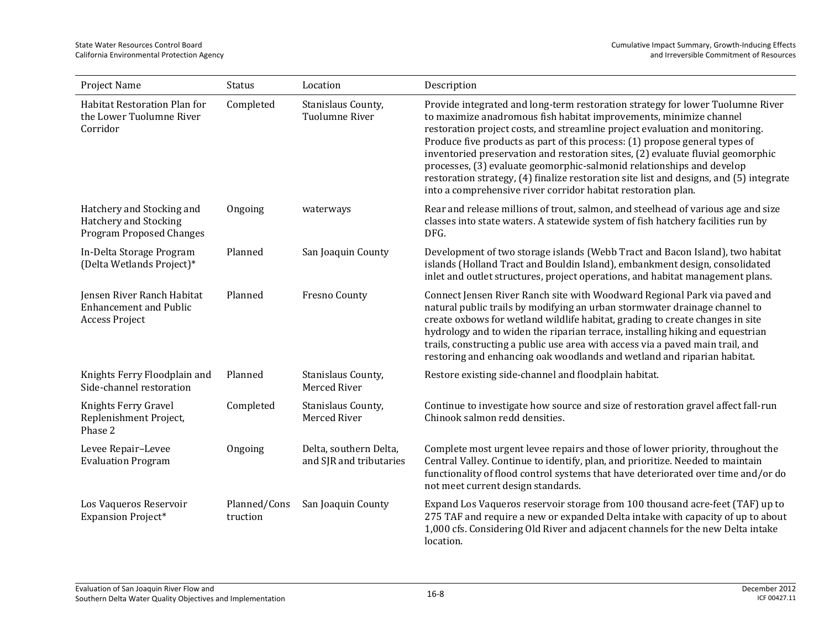| Project Name                                                                          | <b>Status</b>            | Location                                          | Description                                                                                                                                                                                                                                                                                                                                                                                                                                                                                                                                                                                                                                 |
|---------------------------------------------------------------------------------------|--------------------------|---------------------------------------------------|---------------------------------------------------------------------------------------------------------------------------------------------------------------------------------------------------------------------------------------------------------------------------------------------------------------------------------------------------------------------------------------------------------------------------------------------------------------------------------------------------------------------------------------------------------------------------------------------------------------------------------------------|
| Habitat Restoration Plan for<br>the Lower Tuolumne River<br>Corridor                  | Completed                | Stanislaus County,<br>Tuolumne River              | Provide integrated and long-term restoration strategy for lower Tuolumne River<br>to maximize anadromous fish habitat improvements, minimize channel<br>restoration project costs, and streamline project evaluation and monitoring.<br>Produce five products as part of this process: (1) propose general types of<br>inventoried preservation and restoration sites, (2) evaluate fluvial geomorphic<br>processes, (3) evaluate geomorphic-salmonid relationships and develop<br>restoration strategy, (4) finalize restoration site list and designs, and (5) integrate<br>into a comprehensive river corridor habitat restoration plan. |
| Hatchery and Stocking and<br>Hatchery and Stocking<br><b>Program Proposed Changes</b> | Ongoing                  | waterways                                         | Rear and release millions of trout, salmon, and steelhead of various age and size<br>classes into state waters. A statewide system of fish hatchery facilities run by<br>DFG.                                                                                                                                                                                                                                                                                                                                                                                                                                                               |
| In-Delta Storage Program<br>(Delta Wetlands Project)*                                 | Planned                  | San Joaquin County                                | Development of two storage islands (Webb Tract and Bacon Island), two habitat<br>islands (Holland Tract and Bouldin Island), embankment design, consolidated<br>inlet and outlet structures, project operations, and habitat management plans.                                                                                                                                                                                                                                                                                                                                                                                              |
| Jensen River Ranch Habitat<br><b>Enhancement and Public</b><br>Access Project         | Planned                  | Fresno County                                     | Connect Jensen River Ranch site with Woodward Regional Park via paved and<br>natural public trails by modifying an urban stormwater drainage channel to<br>create oxbows for wetland wildlife habitat, grading to create changes in site<br>hydrology and to widen the riparian terrace, installing hiking and equestrian<br>trails, constructing a public use area with access via a paved main trail, and<br>restoring and enhancing oak woodlands and wetland and riparian habitat.                                                                                                                                                      |
| Knights Ferry Floodplain and<br>Side-channel restoration                              | Planned                  | Stanislaus County,<br>Merced River                | Restore existing side-channel and floodplain habitat.                                                                                                                                                                                                                                                                                                                                                                                                                                                                                                                                                                                       |
| Knights Ferry Gravel<br>Replenishment Project,<br>Phase 2                             | Completed                | Stanislaus County,<br>Merced River                | Continue to investigate how source and size of restoration gravel affect fall-run<br>Chinook salmon redd densities.                                                                                                                                                                                                                                                                                                                                                                                                                                                                                                                         |
| Levee Repair-Levee<br><b>Evaluation Program</b>                                       | Ongoing                  | Delta, southern Delta,<br>and SJR and tributaries | Complete most urgent levee repairs and those of lower priority, throughout the<br>Central Valley. Continue to identify, plan, and prioritize. Needed to maintain<br>functionality of flood control systems that have deteriorated over time and/or do<br>not meet current design standards.                                                                                                                                                                                                                                                                                                                                                 |
| Los Vaqueros Reservoir<br><b>Expansion Project*</b>                                   | Planned/Cons<br>truction | San Joaquin County                                | Expand Los Vaqueros reservoir storage from 100 thousand acre-feet (TAF) up to<br>275 TAF and require a new or expanded Delta intake with capacity of up to about<br>1,000 cfs. Considering Old River and adjacent channels for the new Delta intake<br>location.                                                                                                                                                                                                                                                                                                                                                                            |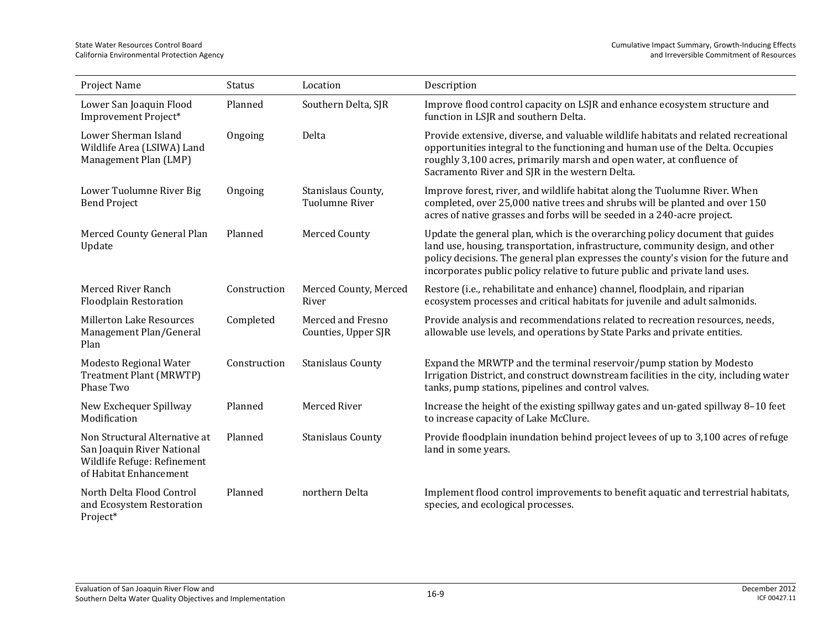| Project Name                                                                                                         | Status       | Location                                    | Description                                                                                                                                                                                                                                                                                                                           |
|----------------------------------------------------------------------------------------------------------------------|--------------|---------------------------------------------|---------------------------------------------------------------------------------------------------------------------------------------------------------------------------------------------------------------------------------------------------------------------------------------------------------------------------------------|
| Lower San Joaquin Flood<br>Improvement Project*                                                                      | Planned      | Southern Delta, SJR                         | Improve flood control capacity on LSJR and enhance ecosystem structure and<br>function in LSJR and southern Delta.                                                                                                                                                                                                                    |
| Lower Sherman Island<br>Wildlife Area (LSIWA) Land<br>Management Plan (LMP)                                          | Ongoing      | Delta                                       | Provide extensive, diverse, and valuable wildlife habitats and related recreational<br>opportunities integral to the functioning and human use of the Delta. Occupies<br>roughly 3,100 acres, primarily marsh and open water, at confluence of<br>Sacramento River and SJR in the western Delta.                                      |
| Lower Tuolumne River Big<br><b>Bend Project</b>                                                                      | Ongoing      | Stanislaus County,<br><b>Tuolumne River</b> | Improve forest, river, and wildlife habitat along the Tuolumne River. When<br>completed, over 25,000 native trees and shrubs will be planted and over 150<br>acres of native grasses and forbs will be seeded in a 240-acre project.                                                                                                  |
| Merced County General Plan<br>Update                                                                                 | Planned      | Merced County                               | Update the general plan, which is the overarching policy document that guides<br>land use, housing, transportation, infrastructure, community design, and other<br>policy decisions. The general plan expresses the county's vision for the future and<br>incorporates public policy relative to future public and private land uses. |
| Merced River Ranch<br><b>Floodplain Restoration</b>                                                                  | Construction | Merced County, Merced<br>River              | Restore (i.e., rehabilitate and enhance) channel, floodplain, and riparian<br>ecosystem processes and critical habitats for juvenile and adult salmonids.                                                                                                                                                                             |
| <b>Millerton Lake Resources</b><br>Management Plan/General<br>Plan                                                   | Completed    | Merced and Fresno<br>Counties, Upper SJR    | Provide analysis and recommendations related to recreation resources, needs,<br>allowable use levels, and operations by State Parks and private entities.                                                                                                                                                                             |
| Modesto Regional Water<br>Treatment Plant (MRWTP)<br>Phase Two                                                       | Construction | <b>Stanislaus County</b>                    | Expand the MRWTP and the terminal reservoir/pump station by Modesto<br>Irrigation District, and construct downstream facilities in the city, including water<br>tanks, pump stations, pipelines and control valves.                                                                                                                   |
| New Exchequer Spillway<br>Modification                                                                               | Planned      | Merced River                                | Increase the height of the existing spillway gates and un-gated spillway 8-10 feet<br>to increase capacity of Lake McClure.                                                                                                                                                                                                           |
| Non Structural Alternative at<br>San Joaquin River National<br>Wildlife Refuge: Refinement<br>of Habitat Enhancement | Planned      | <b>Stanislaus County</b>                    | Provide floodplain inundation behind project levees of up to 3,100 acres of refuge<br>land in some years.                                                                                                                                                                                                                             |
| North Delta Flood Control<br>and Ecosystem Restoration<br>Project*                                                   | Planned      | northern Delta                              | Implement flood control improvements to benefit aquatic and terrestrial habitats,<br>species, and ecological processes.                                                                                                                                                                                                               |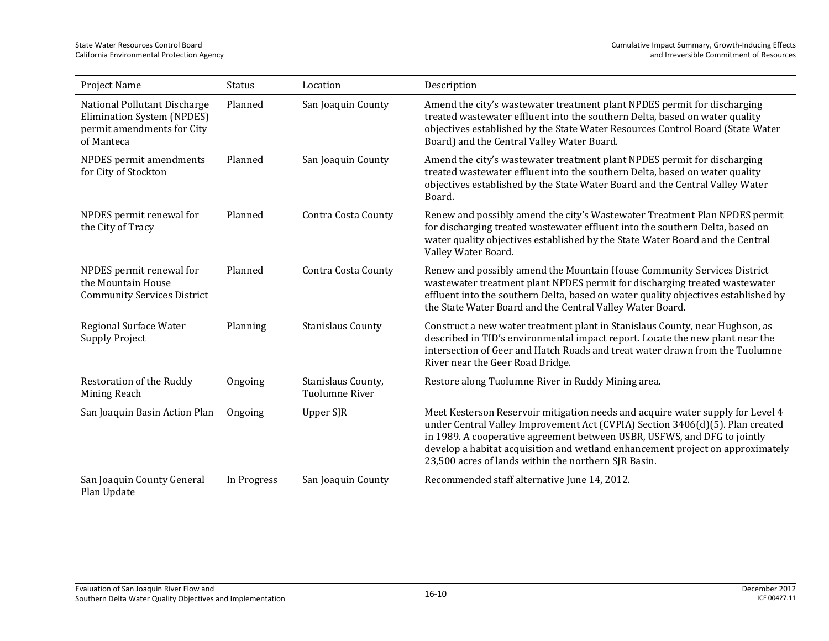| Project Name                                                                                           | Status      | Location                             | Description                                                                                                                                                                                                                                                                                                                                                                           |
|--------------------------------------------------------------------------------------------------------|-------------|--------------------------------------|---------------------------------------------------------------------------------------------------------------------------------------------------------------------------------------------------------------------------------------------------------------------------------------------------------------------------------------------------------------------------------------|
| National Pollutant Discharge<br>Elimination System (NPDES)<br>permit amendments for City<br>of Manteca | Planned     | San Joaquin County                   | Amend the city's wastewater treatment plant NPDES permit for discharging<br>treated wastewater effluent into the southern Delta, based on water quality<br>objectives established by the State Water Resources Control Board (State Water<br>Board) and the Central Valley Water Board.                                                                                               |
| NPDES permit amendments<br>for City of Stockton                                                        | Planned     | San Joaquin County                   | Amend the city's wastewater treatment plant NPDES permit for discharging<br>treated wastewater effluent into the southern Delta, based on water quality<br>objectives established by the State Water Board and the Central Valley Water<br>Board.                                                                                                                                     |
| NPDES permit renewal for<br>the City of Tracy                                                          | Planned     | Contra Costa County                  | Renew and possibly amend the city's Wastewater Treatment Plan NPDES permit<br>for discharging treated wastewater effluent into the southern Delta, based on<br>water quality objectives established by the State Water Board and the Central<br>Valley Water Board.                                                                                                                   |
| NPDES permit renewal for<br>the Mountain House<br><b>Community Services District</b>                   | Planned     | Contra Costa County                  | Renew and possibly amend the Mountain House Community Services District<br>wastewater treatment plant NPDES permit for discharging treated wastewater<br>effluent into the southern Delta, based on water quality objectives established by<br>the State Water Board and the Central Valley Water Board.                                                                              |
| Regional Surface Water<br><b>Supply Project</b>                                                        | Planning    | <b>Stanislaus County</b>             | Construct a new water treatment plant in Stanislaus County, near Hughson, as<br>described in TID's environmental impact report. Locate the new plant near the<br>intersection of Geer and Hatch Roads and treat water drawn from the Tuolumne<br>River near the Geer Road Bridge.                                                                                                     |
| Restoration of the Ruddy<br>Mining Reach                                                               | Ongoing     | Stanislaus County,<br>Tuolumne River | Restore along Tuolumne River in Ruddy Mining area.                                                                                                                                                                                                                                                                                                                                    |
| San Joaquin Basin Action Plan                                                                          | Ongoing     | Upper SJR                            | Meet Kesterson Reservoir mitigation needs and acquire water supply for Level 4<br>under Central Valley Improvement Act (CVPIA) Section 3406(d)(5). Plan created<br>in 1989. A cooperative agreement between USBR, USFWS, and DFG to jointly<br>develop a habitat acquisition and wetland enhancement project on approximately<br>23,500 acres of lands within the northern SJR Basin. |
| San Joaquin County General<br>Plan Update                                                              | In Progress | San Joaquin County                   | Recommended staff alternative June 14, 2012.                                                                                                                                                                                                                                                                                                                                          |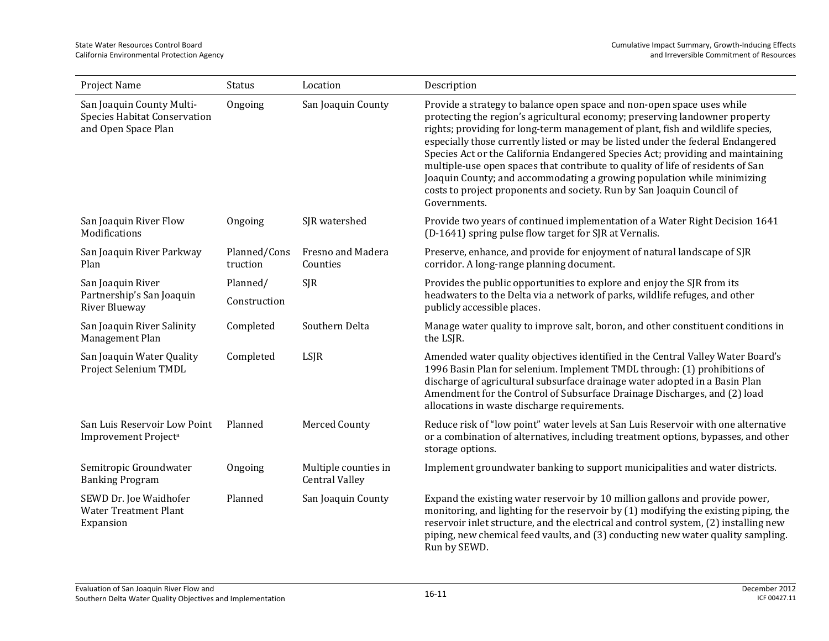| Project Name                                                                            | Status                   | Location                                      | Description                                                                                                                                                                                                                                                                                                                                                                                                                                                                                                                                                                                                                                                            |
|-----------------------------------------------------------------------------------------|--------------------------|-----------------------------------------------|------------------------------------------------------------------------------------------------------------------------------------------------------------------------------------------------------------------------------------------------------------------------------------------------------------------------------------------------------------------------------------------------------------------------------------------------------------------------------------------------------------------------------------------------------------------------------------------------------------------------------------------------------------------------|
| San Joaquin County Multi-<br><b>Species Habitat Conservation</b><br>and Open Space Plan | Ongoing                  | San Joaquin County                            | Provide a strategy to balance open space and non-open space uses while<br>protecting the region's agricultural economy; preserving landowner property<br>rights; providing for long-term management of plant, fish and wildlife species,<br>especially those currently listed or may be listed under the federal Endangered<br>Species Act or the California Endangered Species Act; providing and maintaining<br>multiple-use open spaces that contribute to quality of life of residents of San<br>Joaquin County; and accommodating a growing population while minimizing<br>costs to project proponents and society. Run by San Joaquin Council of<br>Governments. |
| San Joaquin River Flow<br>Modifications                                                 | Ongoing                  | SJR watershed                                 | Provide two years of continued implementation of a Water Right Decision 1641<br>(D-1641) spring pulse flow target for SJR at Vernalis.                                                                                                                                                                                                                                                                                                                                                                                                                                                                                                                                 |
| San Joaquin River Parkway<br>Plan                                                       | Planned/Cons<br>truction | Fresno and Madera<br>Counties                 | Preserve, enhance, and provide for enjoyment of natural landscape of SJR<br>corridor. A long-range planning document.                                                                                                                                                                                                                                                                                                                                                                                                                                                                                                                                                  |
| San Joaquin River<br>Partnership's San Joaquin<br>River Blueway                         | Planned/<br>Construction | <b>SJR</b>                                    | Provides the public opportunities to explore and enjoy the SJR from its<br>headwaters to the Delta via a network of parks, wildlife refuges, and other<br>publicly accessible places.                                                                                                                                                                                                                                                                                                                                                                                                                                                                                  |
| San Joaquin River Salinity<br>Management Plan                                           | Completed                | Southern Delta                                | Manage water quality to improve salt, boron, and other constituent conditions in<br>the LSJR.                                                                                                                                                                                                                                                                                                                                                                                                                                                                                                                                                                          |
| San Joaquin Water Quality<br>Project Selenium TMDL                                      | Completed                | LSJR                                          | Amended water quality objectives identified in the Central Valley Water Board's<br>1996 Basin Plan for selenium. Implement TMDL through: (1) prohibitions of<br>discharge of agricultural subsurface drainage water adopted in a Basin Plan<br>Amendment for the Control of Subsurface Drainage Discharges, and (2) load<br>allocations in waste discharge requirements.                                                                                                                                                                                                                                                                                               |
| San Luis Reservoir Low Point<br>Improvement Project <sup>a</sup>                        | Planned                  | Merced County                                 | Reduce risk of "low point" water levels at San Luis Reservoir with one alternative<br>or a combination of alternatives, including treatment options, bypasses, and other<br>storage options.                                                                                                                                                                                                                                                                                                                                                                                                                                                                           |
| Semitropic Groundwater<br><b>Banking Program</b>                                        | Ongoing                  | Multiple counties in<br><b>Central Valley</b> | Implement groundwater banking to support municipalities and water districts.                                                                                                                                                                                                                                                                                                                                                                                                                                                                                                                                                                                           |
| SEWD Dr. Joe Waidhofer<br><b>Water Treatment Plant</b><br>Expansion                     | Planned                  | San Joaquin County                            | Expand the existing water reservoir by 10 million gallons and provide power,<br>monitoring, and lighting for the reservoir by (1) modifying the existing piping, the<br>reservoir inlet structure, and the electrical and control system, (2) installing new<br>piping, new chemical feed vaults, and (3) conducting new water quality sampling.<br>Run by SEWD.                                                                                                                                                                                                                                                                                                       |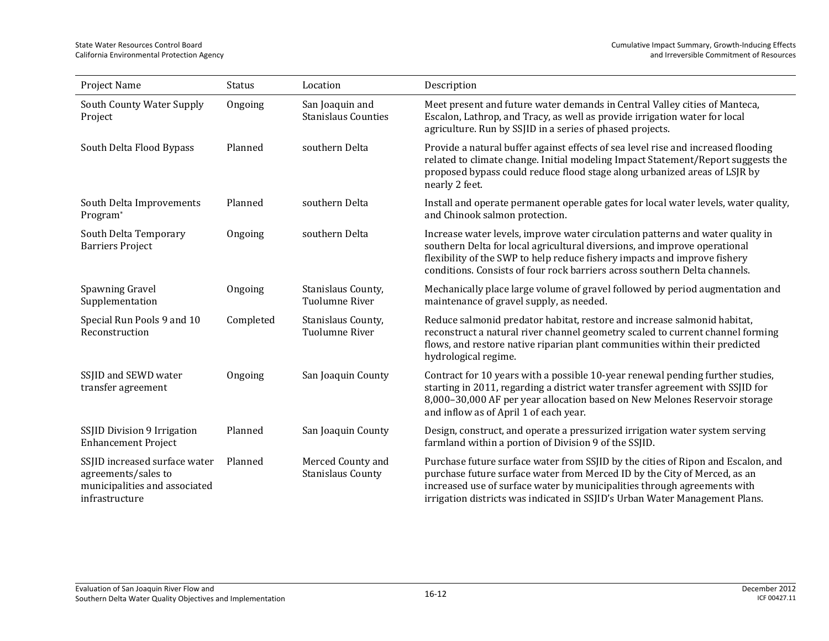| Project Name                                                                                            | <b>Status</b> | Location                                      | Description                                                                                                                                                                                                                                                                                                              |
|---------------------------------------------------------------------------------------------------------|---------------|-----------------------------------------------|--------------------------------------------------------------------------------------------------------------------------------------------------------------------------------------------------------------------------------------------------------------------------------------------------------------------------|
| South County Water Supply<br>Project                                                                    | Ongoing       | San Joaquin and<br><b>Stanislaus Counties</b> | Meet present and future water demands in Central Valley cities of Manteca,<br>Escalon, Lathrop, and Tracy, as well as provide irrigation water for local<br>agriculture. Run by SSJID in a series of phased projects.                                                                                                    |
| South Delta Flood Bypass                                                                                | Planned       | southern Delta                                | Provide a natural buffer against effects of sea level rise and increased flooding<br>related to climate change. Initial modeling Impact Statement/Report suggests the<br>proposed bypass could reduce flood stage along urbanized areas of LSJR by<br>nearly 2 feet.                                                     |
| South Delta Improvements<br>Program*                                                                    | Planned       | southern Delta                                | Install and operate permanent operable gates for local water levels, water quality,<br>and Chinook salmon protection.                                                                                                                                                                                                    |
| South Delta Temporary<br><b>Barriers Project</b>                                                        | Ongoing       | southern Delta                                | Increase water levels, improve water circulation patterns and water quality in<br>southern Delta for local agricultural diversions, and improve operational<br>flexibility of the SWP to help reduce fishery impacts and improve fishery<br>conditions. Consists of four rock barriers across southern Delta channels.   |
| Spawning Gravel<br>Supplementation                                                                      | Ongoing       | Stanislaus County,<br>Tuolumne River          | Mechanically place large volume of gravel followed by period augmentation and<br>maintenance of gravel supply, as needed.                                                                                                                                                                                                |
| Special Run Pools 9 and 10<br>Reconstruction                                                            | Completed     | Stanislaus County,<br><b>Tuolumne River</b>   | Reduce salmonid predator habitat, restore and increase salmonid habitat,<br>reconstruct a natural river channel geometry scaled to current channel forming<br>flows, and restore native riparian plant communities within their predicted<br>hydrological regime.                                                        |
| SSJID and SEWD water<br>transfer agreement                                                              | Ongoing       | San Joaquin County                            | Contract for 10 years with a possible 10-year renewal pending further studies,<br>starting in 2011, regarding a district water transfer agreement with SSJID for<br>8,000-30,000 AF per year allocation based on New Melones Reservoir storage<br>and inflow as of April 1 of each year.                                 |
| SSJID Division 9 Irrigation<br><b>Enhancement Project</b>                                               | Planned       | San Joaquin County                            | Design, construct, and operate a pressurized irrigation water system serving<br>farmland within a portion of Division 9 of the SSJID.                                                                                                                                                                                    |
| SSJID increased surface water<br>agreements/sales to<br>municipalities and associated<br>infrastructure | Planned       | Merced County and<br><b>Stanislaus County</b> | Purchase future surface water from SSJID by the cities of Ripon and Escalon, and<br>purchase future surface water from Merced ID by the City of Merced, as an<br>increased use of surface water by municipalities through agreements with<br>irrigation districts was indicated in SSJID's Urban Water Management Plans. |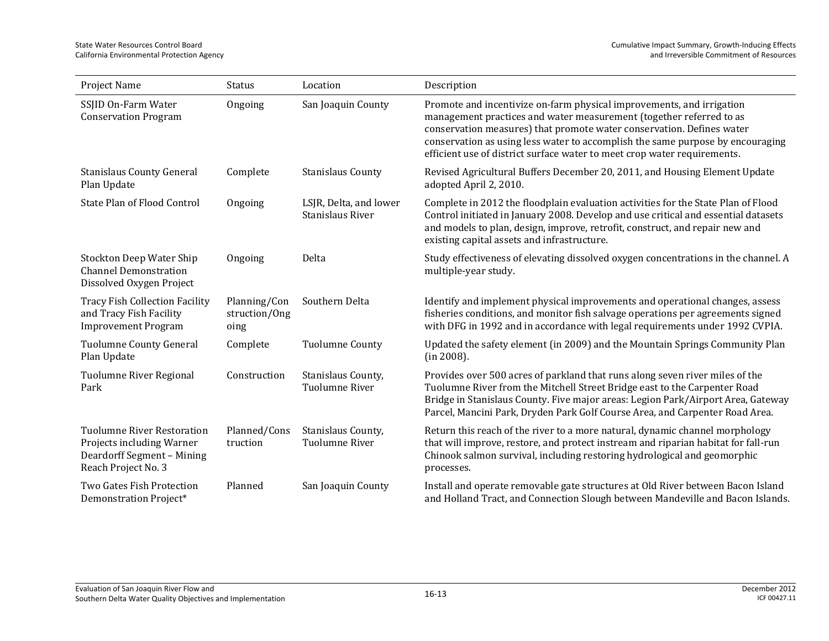| Project Name                                                                                                        | <b>Status</b>                         | Location                                   | Description                                                                                                                                                                                                                                                                                                                                                                         |
|---------------------------------------------------------------------------------------------------------------------|---------------------------------------|--------------------------------------------|-------------------------------------------------------------------------------------------------------------------------------------------------------------------------------------------------------------------------------------------------------------------------------------------------------------------------------------------------------------------------------------|
| SSJID On-Farm Water<br><b>Conservation Program</b>                                                                  | Ongoing                               | San Joaquin County                         | Promote and incentivize on-farm physical improvements, and irrigation<br>management practices and water measurement (together referred to as<br>conservation measures) that promote water conservation. Defines water<br>conservation as using less water to accomplish the same purpose by encouraging<br>efficient use of district surface water to meet crop water requirements. |
| <b>Stanislaus County General</b><br>Plan Update                                                                     | Complete                              | <b>Stanislaus County</b>                   | Revised Agricultural Buffers December 20, 2011, and Housing Element Update<br>adopted April 2, 2010.                                                                                                                                                                                                                                                                                |
| State Plan of Flood Control                                                                                         | Ongoing                               | LSJR, Delta, and lower<br>Stanislaus River | Complete in 2012 the floodplain evaluation activities for the State Plan of Flood<br>Control initiated in January 2008. Develop and use critical and essential datasets<br>and models to plan, design, improve, retrofit, construct, and repair new and<br>existing capital assets and infrastructure.                                                                              |
| Stockton Deep Water Ship<br><b>Channel Demonstration</b><br>Dissolved Oxygen Project                                | Ongoing                               | Delta                                      | Study effectiveness of elevating dissolved oxygen concentrations in the channel. A<br>multiple-year study.                                                                                                                                                                                                                                                                          |
| <b>Tracy Fish Collection Facility</b><br>and Tracy Fish Facility<br><b>Improvement Program</b>                      | Planning/Con<br>struction/Ong<br>oing | Southern Delta                             | Identify and implement physical improvements and operational changes, assess<br>fisheries conditions, and monitor fish salvage operations per agreements signed<br>with DFG in 1992 and in accordance with legal requirements under 1992 CVPIA.                                                                                                                                     |
| <b>Tuolumne County General</b><br>Plan Update                                                                       | Complete                              | <b>Tuolumne County</b>                     | Updated the safety element (in 2009) and the Mountain Springs Community Plan<br>(in 2008).                                                                                                                                                                                                                                                                                          |
| Tuolumne River Regional<br>Park                                                                                     | Construction                          | Stanislaus County,<br>Tuolumne River       | Provides over 500 acres of parkland that runs along seven river miles of the<br>Tuolumne River from the Mitchell Street Bridge east to the Carpenter Road<br>Bridge in Stanislaus County. Five major areas: Legion Park/Airport Area, Gateway<br>Parcel, Mancini Park, Dryden Park Golf Course Area, and Carpenter Road Area.                                                       |
| <b>Tuolumne River Restoration</b><br>Projects including Warner<br>Deardorff Segment - Mining<br>Reach Project No. 3 | Planned/Cons<br>truction              | Stanislaus County,<br>Tuolumne River       | Return this reach of the river to a more natural, dynamic channel morphology<br>that will improve, restore, and protect instream and riparian habitat for fall-run<br>Chinook salmon survival, including restoring hydrological and geomorphic<br>processes.                                                                                                                        |
| Two Gates Fish Protection<br>Demonstration Project*                                                                 | Planned                               | San Joaquin County                         | Install and operate removable gate structures at Old River between Bacon Island<br>and Holland Tract, and Connection Slough between Mandeville and Bacon Islands.                                                                                                                                                                                                                   |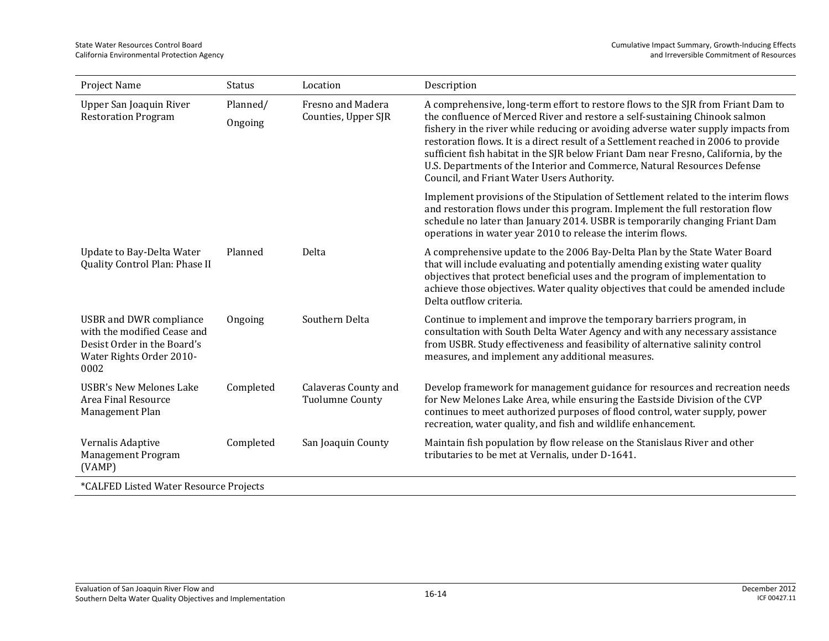| Project Name                                                                                                                     | <b>Status</b>       | Location                                       | Description                                                                                                                                                                                                                                                                                                                                                                                                                                                                                                                                                  |  |
|----------------------------------------------------------------------------------------------------------------------------------|---------------------|------------------------------------------------|--------------------------------------------------------------------------------------------------------------------------------------------------------------------------------------------------------------------------------------------------------------------------------------------------------------------------------------------------------------------------------------------------------------------------------------------------------------------------------------------------------------------------------------------------------------|--|
| Upper San Joaquin River<br><b>Restoration Program</b>                                                                            | Planned/<br>Ongoing | Fresno and Madera<br>Counties, Upper SJR       | A comprehensive, long-term effort to restore flows to the SJR from Friant Dam to<br>the confluence of Merced River and restore a self-sustaining Chinook salmon<br>fishery in the river while reducing or avoiding adverse water supply impacts from<br>restoration flows. It is a direct result of a Settlement reached in 2006 to provide<br>sufficient fish habitat in the SJR below Friant Dam near Fresno, California, by the<br>U.S. Departments of the Interior and Commerce, Natural Resources Defense<br>Council, and Friant Water Users Authority. |  |
|                                                                                                                                  |                     |                                                | Implement provisions of the Stipulation of Settlement related to the interim flows<br>and restoration flows under this program. Implement the full restoration flow<br>schedule no later than January 2014. USBR is temporarily changing Friant Dam<br>operations in water year 2010 to release the interim flows.                                                                                                                                                                                                                                           |  |
| Update to Bay-Delta Water<br>Quality Control Plan: Phase II                                                                      | Planned             | Delta                                          | A comprehensive update to the 2006 Bay-Delta Plan by the State Water Board<br>that will include evaluating and potentially amending existing water quality<br>objectives that protect beneficial uses and the program of implementation to<br>achieve those objectives. Water quality objectives that could be amended include<br>Delta outflow criteria.                                                                                                                                                                                                    |  |
| <b>USBR</b> and DWR compliance<br>with the modified Cease and<br>Desist Order in the Board's<br>Water Rights Order 2010-<br>0002 | Ongoing             | Southern Delta                                 | Continue to implement and improve the temporary barriers program, in<br>consultation with South Delta Water Agency and with any necessary assistance<br>from USBR. Study effectiveness and feasibility of alternative salinity control<br>measures, and implement any additional measures.                                                                                                                                                                                                                                                                   |  |
| <b>USBR's New Melones Lake</b><br>Area Final Resource<br>Management Plan                                                         | Completed           | <b>Calaveras County and</b><br>Tuolumne County | Develop framework for management guidance for resources and recreation needs<br>for New Melones Lake Area, while ensuring the Eastside Division of the CVP<br>continues to meet authorized purposes of flood control, water supply, power<br>recreation, water quality, and fish and wildlife enhancement.                                                                                                                                                                                                                                                   |  |
| Vernalis Adaptive<br>Management Program<br>(VAMP)                                                                                | Completed           | San Joaquin County                             | Maintain fish population by flow release on the Stanislaus River and other<br>tributaries to be met at Vernalis, under D-1641.                                                                                                                                                                                                                                                                                                                                                                                                                               |  |
| *CALFED Listed Water Resource Projects                                                                                           |                     |                                                |                                                                                                                                                                                                                                                                                                                                                                                                                                                                                                                                                              |  |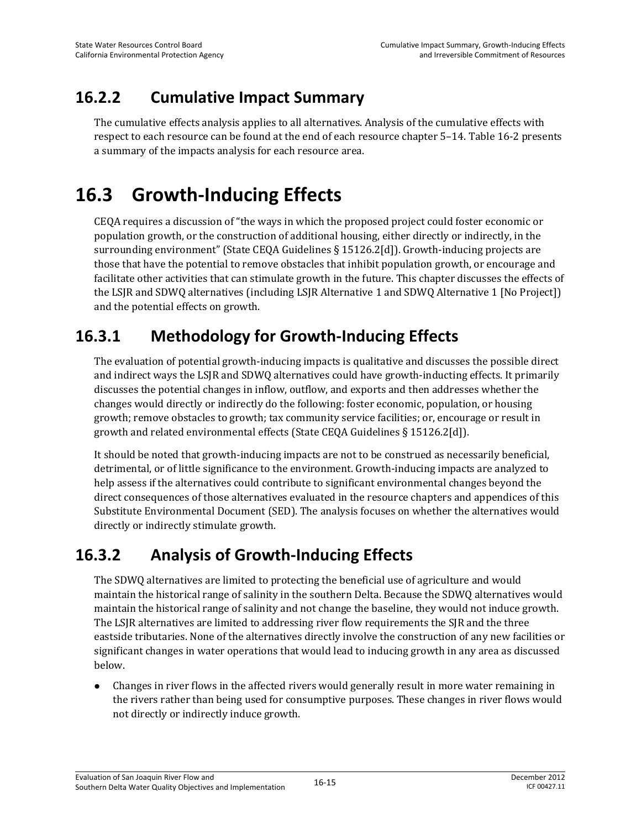### **16.2.2 Cumulative Impact Summary**

The cumulative effects analysis applies to all alternatives. Analysis of the cumulative effects with respect to each resource can be found at the end of each resource chapter 5–14. Table 16-2 presents a summary of the impacts analysis for each resource area.

## **16.3 Growth-Inducing Effects**

CEQA requires a discussion of "the ways in which the proposed project could foster economic or population growth, or the construction of additional housing, either directly or indirectly, in the surrounding environment" (State CEQA Guidelines § 15126.2[d]). Growth-inducing projects are those that have the potential to remove obstacles that inhibit population growth, or encourage and facilitate other activities that can stimulate growth in the future. This chapter discusses the effects of the LSJR and SDWQ alternatives (including LSJR Alternative 1 and SDWQ Alternative 1 [No Project]) and the potential effects on growth.

## **16.3.1 Methodology for Growth-Inducing Effects**

The evaluation of potential growth-inducing impacts is qualitative and discusses the possible direct and indirect ways the LSJR and SDWQ alternatives could have growth-inducting effects. It primarily discusses the potential changes in inflow, outflow, and exports and then addresses whether the changes would directly or indirectly do the following: foster economic, population, or housing growth; remove obstacles to growth; tax community service facilities; or, encourage or result in growth and related environmental effects (State CEQA Guidelines § 15126.2[d]).

It should be noted that growth-inducing impacts are not to be construed as necessarily beneficial, detrimental, or of little significance to the environment. Growth-inducing impacts are analyzed to help assess if the alternatives could contribute to significant environmental changes beyond the direct consequences of those alternatives evaluated in the resource chapters and appendices of this Substitute Environmental Document (SED). The analysis focuses on whether the alternatives would directly or indirectly stimulate growth.

## **16.3.2 Analysis of Growth-Inducing Effects**

The SDWQ alternatives are limited to protecting the beneficial use of agriculture and would maintain the historical range of salinity in the southern Delta. Because the SDWQ alternatives would maintain the historical range of salinity and not change the baseline, they would not induce growth. The LSJR alternatives are limited to addressing river flow requirements the SJR and the three eastside tributaries. None of the alternatives directly involve the construction of any new facilities or significant changes in water operations that would lead to inducing growth in any area as discussed below.

 Changes in river flows in the affected rivers would generally result in more water remaining in the rivers rather than being used for consumptive purposes. These changes in river flows would not directly or indirectly induce growth.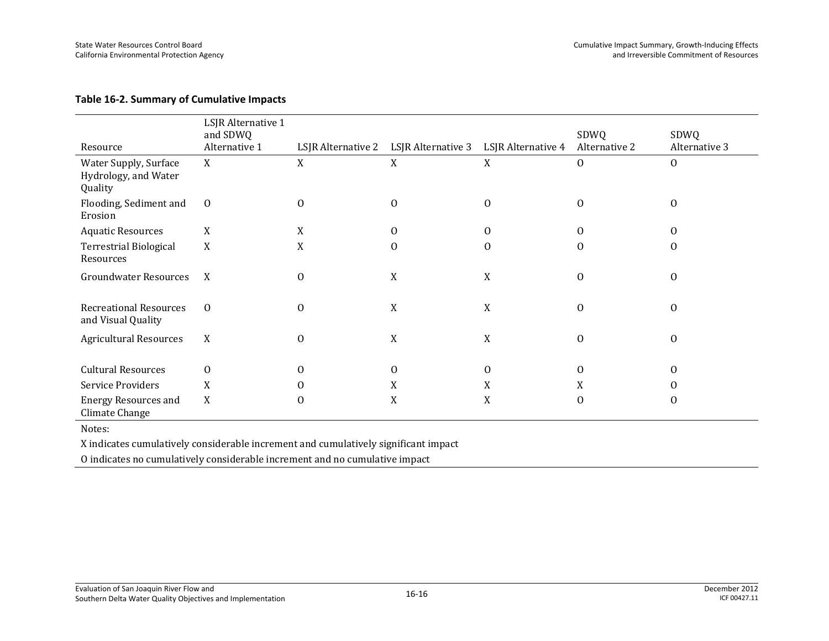#### **Table 16-2. Summary of Cumulative Impacts**

|                                                          | LSJR Alternative 1<br>and SDWQ |          |                                       |                    | SDWQ          | SDWQ          |
|----------------------------------------------------------|--------------------------------|----------|---------------------------------------|--------------------|---------------|---------------|
| Resource                                                 | Alternative 1                  |          | LSJR Alternative 2 LSJR Alternative 3 | LSJR Alternative 4 | Alternative 2 | Alternative 3 |
| Water Supply, Surface<br>Hydrology, and Water<br>Quality | X                              | X        | X                                     | X                  | $\theta$      | $\mathbf{0}$  |
| Flooding, Sediment and<br>Erosion                        | $\mathbf{0}$                   | 0        | $\theta$                              | $\theta$           | $\mathbf{0}$  | $\Omega$      |
| <b>Aquatic Resources</b>                                 | X                              | X        | 0                                     | $\theta$           | 0             | $\Omega$      |
| <b>Terrestrial Biological</b><br>Resources               | X                              | X        | $\Omega$                              | $\Omega$           | $\Omega$      | $\Omega$      |
| <b>Groundwater Resources</b>                             | X                              | 0        | X                                     | X                  | $\mathbf{O}$  | $\Omega$      |
| <b>Recreational Resources</b><br>and Visual Quality      | $\overline{0}$                 | 0        | X                                     | X                  | $\mathbf{0}$  | $\Omega$      |
| <b>Agricultural Resources</b>                            | X                              | 0        | X                                     | X                  | $\mathbf{0}$  | $\Omega$      |
| <b>Cultural Resources</b>                                | $\theta$                       | $\theta$ | $\theta$                              | $\theta$           | $\theta$      | $\Omega$      |
| Service Providers                                        | X                              | 0        | X                                     | X                  | X             | $\mathcal{O}$ |
| <b>Energy Resources and</b><br>Climate Change            | X                              | 0        | X                                     | X                  | $\Omega$      | $\Omega$      |

Notes:

X indicates cumulatively considerable increment and cumulatively significant impact

O indicates no cumulatively considerable increment and no cumulative impact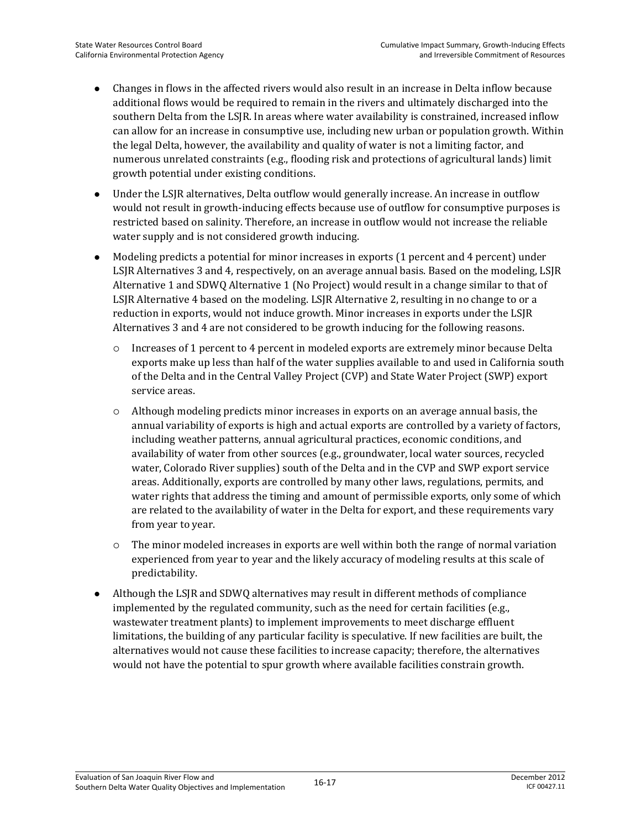- Changes in flows in the affected rivers would also result in an increase in Delta inflow because additional flows would be required to remain in the rivers and ultimately discharged into the southern Delta from the LSJR. In areas where water availability is constrained, increased inflow can allow for an increase in consumptive use, including new urban or population growth. Within the legal Delta, however, the availability and quality of water is not a limiting factor, and numerous unrelated constraints (e.g., flooding risk and protections of agricultural lands) limit growth potential under existing conditions.
- Under the LSJR alternatives, Delta outflow would generally increase. An increase in outflow would not result in growth-inducing effects because use of outflow for consumptive purposes is restricted based on salinity. Therefore, an increase in outflow would not increase the reliable water supply and is not considered growth inducing.
- Modeling predicts a potential for minor increases in exports (1 percent and 4 percent) under LSJR Alternatives 3 and 4, respectively, on an average annual basis. Based on the modeling, LSJR Alternative 1 and SDWQ Alternative 1 (No Project) would result in a change similar to that of LSJR Alternative 4 based on the modeling. LSJR Alternative 2, resulting in no change to or a reduction in exports, would not induce growth. Minor increases in exports under the LSJR Alternatives 3 and 4 are not considered to be growth inducing for the following reasons.
	- $\circ$  Increases of 1 percent to 4 percent in modeled exports are extremely minor because Delta exports make up less than half of the water supplies available to and used in California south of the Delta and in the Central Valley Project (CVP) and State Water Project (SWP) export service areas.
	- Although modeling predicts minor increases in exports on an average annual basis, the annual variability of exports is high and actual exports are controlled by a variety of factors, including weather patterns, annual agricultural practices, economic conditions, and availability of water from other sources (e.g., groundwater, local water sources, recycled water, Colorado River supplies) south of the Delta and in the CVP and SWP export service areas. Additionally, exports are controlled by many other laws, regulations, permits, and water rights that address the timing and amount of permissible exports, only some of which are related to the availability of water in the Delta for export, and these requirements vary from year to year.
	- $\circ$  The minor modeled increases in exports are well within both the range of normal variation experienced from year to year and the likely accuracy of modeling results at this scale of predictability.
- Although the LSJR and SDWQ alternatives may result in different methods of compliance implemented by the regulated community, such as the need for certain facilities (e.g., wastewater treatment plants) to implement improvements to meet discharge effluent limitations, the building of any particular facility is speculative. If new facilities are built, the alternatives would not cause these facilities to increase capacity; therefore, the alternatives would not have the potential to spur growth where available facilities constrain growth.